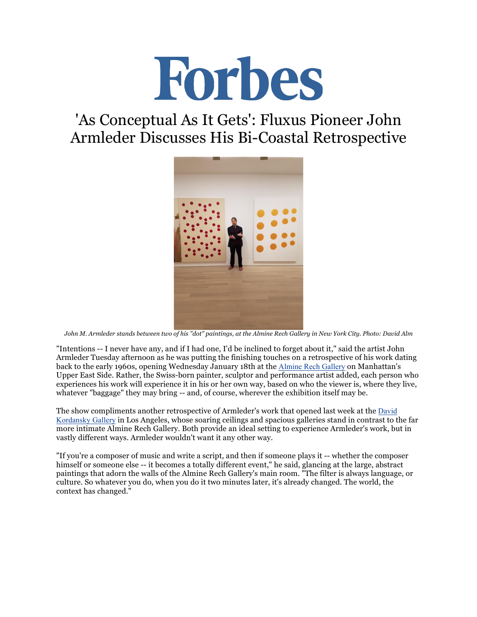

## 'As Conceptual As It Gets': Fluxus Pioneer John Armleder Discusses His Bi-Coastal Retrospective



*John M. Armleder stands between two of his "dot" paintings, at the Almine Rech Gallery in New York City. Photo: David Alm*

"Intentions -- I never have any, and if I had one, I'd be inclined to forget about it," said the artist John Armleder Tuesday afternoon as he was putting the finishing touches on a retrospective of his work dating back to the early 1960s, opening Wednesday January 18th at the Almine Rech Gallery on Manhattan's Upper East Side. Rather, the Swiss-born painter, sculptor and performance artist added, each person who experiences his work will experience it in his or her own way, based on who the viewer is, where they live, whatever "baggage" they may bring -- and, of course, wherever the exhibition itself may be.

The show compliments another retrospective of Armleder's work that opened last week at the David Kordansky Gallery in Los Angeles, whose soaring ceilings and spacious galleries stand in contrast to the far more intimate Almine Rech Gallery. Both provide an ideal setting to experience Armleder's work, but in vastly different ways. Armleder wouldn't want it any other way.

"If you're a composer of music and write a script, and then if someone plays it -- whether the composer himself or someone else -- it becomes a totally different event," he said, glancing at the large, abstract paintings that adorn the walls of the Almine Rech Gallery's main room. "The filter is always language, or culture. So whatever you do, when you do it two minutes later, it's already changed. The world, the context has changed."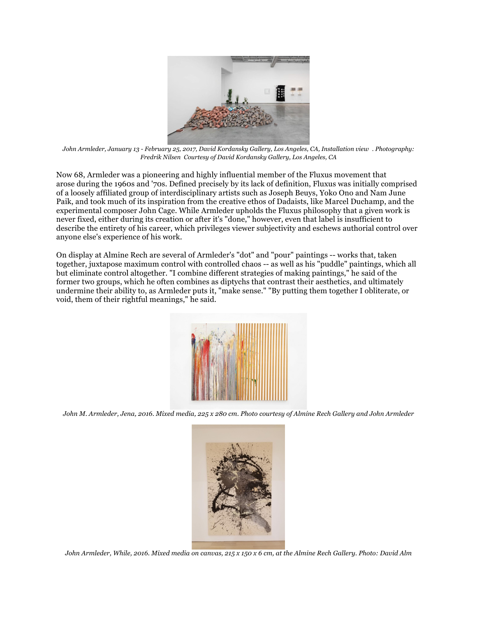

*John Armleder, January 13 - February 25, 2017, David Kordansky Gallery, Los Angeles, CA, Installation view . Photography: Fredrik Nilsen Courtesy of David Kordansky Gallery, Los Angeles, CA*

Now 68, Armleder was a pioneering and highly influential member of the Fluxus movement that arose during the 1960s and '70s. Defined precisely by its lack of definition, Fluxus was initially comprised of a loosely affiliated group of interdisciplinary artists such as Joseph Beuys, Yoko Ono and Nam June Paik, and took much of its inspiration from the creative ethos of Dadaists, like Marcel Duchamp, and the experimental composer John Cage. While Armleder upholds the Fluxus philosophy that a given work is never fixed, either during its creation or after it's "done," however, even that label is insufficient to describe the entirety of his career, which privileges viewer subjectivity and eschews authorial control over anyone else's experience of his work.

On display at Almine Rech are several of Armleder's "dot" and "pour" paintings -- works that, taken together, juxtapose maximum control with controlled chaos -- as well as his "puddle" paintings, which all but eliminate control altogether. "I combine different strategies of making paintings," he said of the former two groups, which he often combines as diptychs that contrast their aesthetics, and ultimately undermine their ability to, as Armleder puts it, "make sense." "By putting them together I obliterate, or void, them of their rightful meanings," he said.



*John M. Armleder, Jena, 2016. Mixed media, 225 x 280 cm. Photo courtesy of Almine Rech Gallery and John Armleder*



*John Armleder, While, 2016. Mixed media on canvas, 215 x 150 x 6 cm, at the Almine Rech Gallery. Photo: David Alm*